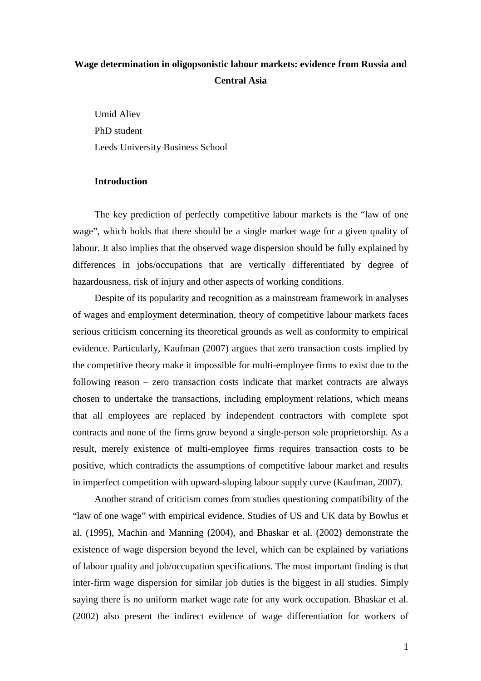# **Wage determination in oligopsonistic labour markets: evidence from Russia and Central Asia**

Umid Aliev PhD student Leeds University Business School

### **Introduction**

The key prediction of perfectly competitive labour markets is the "law of one wage", which holds that there should be a single market wage for a given quality of labour. It also implies that the observed wage dispersion should be fully explained by differences in jobs/occupations that are vertically differentiated by degree of hazardousness, risk of injury and other aspects of working conditions.

Despite of its popularity and recognition as a mainstream framework in analyses of wages and employment determination, theory of competitive labour markets faces serious criticism concerning its theoretical grounds as well as conformity to empirical evidence. Particularly, Kaufman (2007) argues that zero transaction costs implied by the competitive theory make it impossible for multi-employee firms to exist due to the following reason – zero transaction costs indicate that market contracts are always chosen to undertake the transactions, including employment relations, which means that all employees are replaced by independent contractors with complete spot contracts and none of the firms grow beyond a single-person sole proprietorship. As a result, merely existence of multi-employee firms requires transaction costs to be positive, which contradicts the assumptions of competitive labour market and results in imperfect competition with upward-sloping labour supply curve (Kaufman, 2007).

Another strand of criticism comes from studies questioning compatibility of the "law of one wage" with empirical evidence. Studies of US and UK data by Bowlus et al. (1995), Machin and Manning (2004), and Bhaskar et al. (2002) demonstrate the existence of wage dispersion beyond the level, which can be explained by variations of labour quality and job/occupation specifications. The most important finding is that inter-firm wage dispersion for similar job duties is the biggest in all studies. Simply saying there is no uniform market wage rate for any work occupation. Bhaskar et al. (2002) also present the indirect evidence of wage differentiation for workers of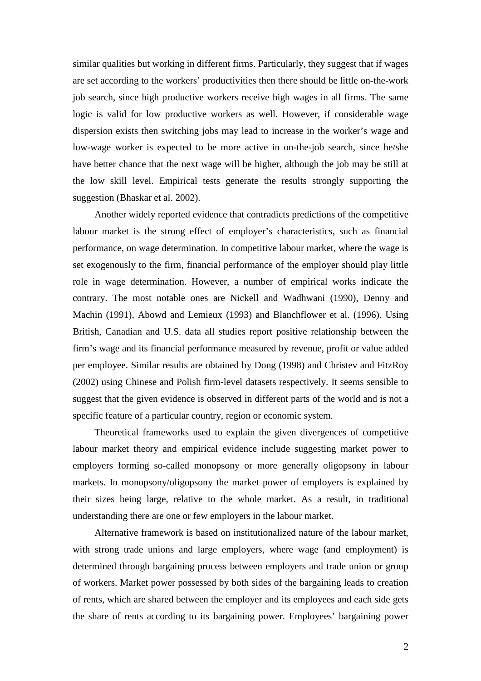similar qualities but working in different firms. Particularly, they suggest that if wages are set according to the workers' productivities then there should be little on-the-work job search, since high productive workers receive high wages in all firms. The same logic is valid for low productive workers as well. However, if considerable wage dispersion exists then switching jobs may lead to increase in the worker's wage and low-wage worker is expected to be more active in on-the-job search, since he/she have better chance that the next wage will be higher, although the job may be still at the low skill level. Empirical tests generate the results strongly supporting the suggestion (Bhaskar et al. 2002).

Another widely reported evidence that contradicts predictions of the competitive labour market is the strong effect of employer's characteristics, such as financial performance, on wage determination. In competitive labour market, where the wage is set exogenously to the firm, financial performance of the employer should play little role in wage determination. However, a number of empirical works indicate the contrary. The most notable ones are Nickell and Wadhwani (1990), Denny and Machin (1991), Abowd and Lemieux (1993) and Blanchflower et al. (1996). Using British, Canadian and U.S. data all studies report positive relationship between the firm's wage and its financial performance measured by revenue, profit or value added per employee. Similar results are obtained by Dong (1998) and Christev and FitzRoy (2002) using Chinese and Polish firm-level datasets respectively. It seems sensible to suggest that the given evidence is observed in different parts of the world and is not a specific feature of a particular country, region or economic system.

Theoretical frameworks used to explain the given divergences of competitive labour market theory and empirical evidence include suggesting market power to employers forming so-called monopsony or more generally oligopsony in labour markets. In monopsony/oligopsony the market power of employers is explained by their sizes being large, relative to the whole market. As a result, in traditional understanding there are one or few employers in the labour market.

Alternative framework is based on institutionalized nature of the labour market, with strong trade unions and large employers, where wage (and employment) is determined through bargaining process between employers and trade union or group of workers. Market power possessed by both sides of the bargaining leads to creation of rents, which are shared between the employer and its employees and each side gets the share of rents according to its bargaining power. Employees' bargaining power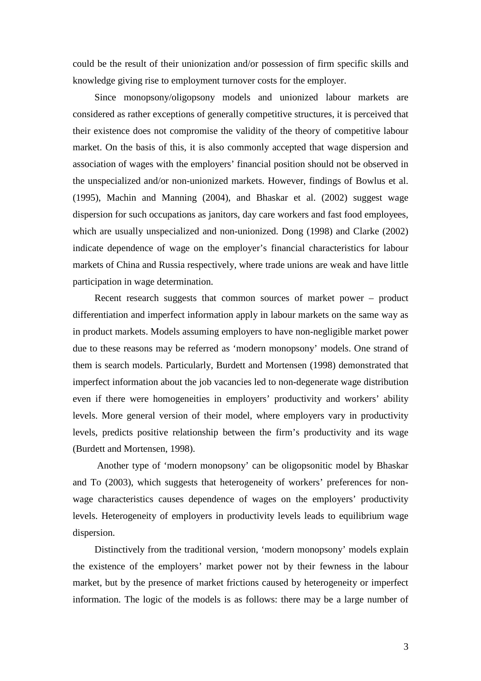could be the result of their unionization and/or possession of firm specific skills and knowledge giving rise to employment turnover costs for the employer.

Since monopsony/oligopsony models and unionized labour markets are considered as rather exceptions of generally competitive structures, it is perceived that their existence does not compromise the validity of the theory of competitive labour market. On the basis of this, it is also commonly accepted that wage dispersion and association of wages with the employers' financial position should not be observed in the unspecialized and/or non-unionized markets. However, findings of Bowlus et al. (1995), Machin and Manning (2004), and Bhaskar et al. (2002) suggest wage dispersion for such occupations as janitors, day care workers and fast food employees, which are usually unspecialized and non-unionized. Dong (1998) and Clarke (2002) indicate dependence of wage on the employer's financial characteristics for labour markets of China and Russia respectively, where trade unions are weak and have little participation in wage determination.

Recent research suggests that common sources of market power – product differentiation and imperfect information apply in labour markets on the same way as in product markets. Models assuming employers to have non-negligible market power due to these reasons may be referred as 'modern monopsony' models. One strand of them is search models. Particularly, Burdett and Mortensen (1998) demonstrated that imperfect information about the job vacancies led to non-degenerate wage distribution even if there were homogeneities in employers' productivity and workers' ability levels. More general version of their model, where employers vary in productivity levels, predicts positive relationship between the firm's productivity and its wage (Burdett and Mortensen, 1998).

Another type of 'modern monopsony' can be oligopsonitic model by Bhaskar and To (2003), which suggests that heterogeneity of workers' preferences for nonwage characteristics causes dependence of wages on the employers' productivity levels. Heterogeneity of employers in productivity levels leads to equilibrium wage dispersion.

Distinctively from the traditional version, 'modern monopsony' models explain the existence of the employers' market power not by their fewness in the labour market, but by the presence of market frictions caused by heterogeneity or imperfect information. The logic of the models is as follows: there may be a large number of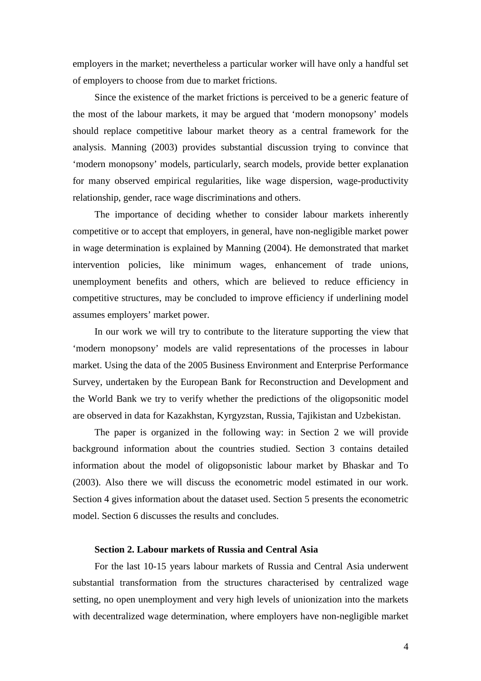employers in the market; nevertheless a particular worker will have only a handful set of employers to choose from due to market frictions.

Since the existence of the market frictions is perceived to be a generic feature of the most of the labour markets, it may be argued that 'modern monopsony' models should replace competitive labour market theory as a central framework for the analysis. Manning (2003) provides substantial discussion trying to convince that 'modern monopsony' models, particularly, search models, provide better explanation for many observed empirical regularities, like wage dispersion, wage-productivity relationship, gender, race wage discriminations and others.

The importance of deciding whether to consider labour markets inherently competitive or to accept that employers, in general, have non-negligible market power in wage determination is explained by Manning (2004). He demonstrated that market intervention policies, like minimum wages, enhancement of trade unions, unemployment benefits and others, which are believed to reduce efficiency in competitive structures, may be concluded to improve efficiency if underlining model assumes employers' market power.

In our work we will try to contribute to the literature supporting the view that 'modern monopsony' models are valid representations of the processes in labour market. Using the data of the 2005 Business Environment and Enterprise Performance Survey, undertaken by the European Bank for Reconstruction and Development and the World Bank we try to verify whether the predictions of the oligopsonitic model are observed in data for Kazakhstan, Kyrgyzstan, Russia, Tajikistan and Uzbekistan.

The paper is organized in the following way: in Section 2 we will provide background information about the countries studied. Section 3 contains detailed information about the model of oligopsonistic labour market by Bhaskar and To (2003). Also there we will discuss the econometric model estimated in our work. Section 4 gives information about the dataset used. Section 5 presents the econometric model. Section 6 discusses the results and concludes.

## **Section 2. Labour markets of Russia and Central Asia**

For the last 10-15 years labour markets of Russia and Central Asia underwent substantial transformation from the structures characterised by centralized wage setting, no open unemployment and very high levels of unionization into the markets with decentralized wage determination, where employers have non-negligible market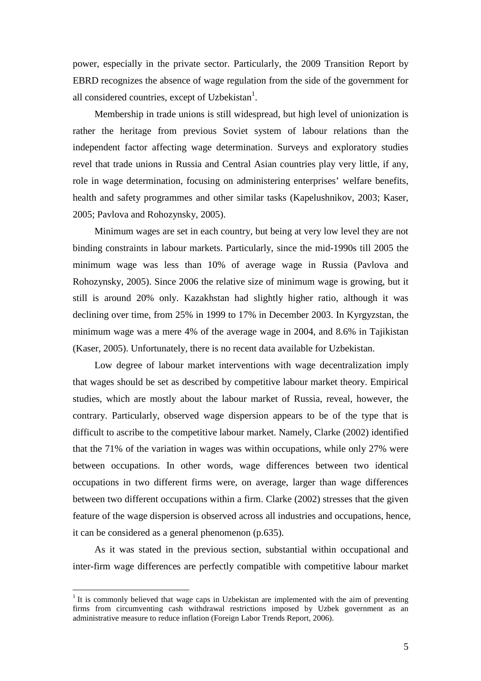power, especially in the private sector. Particularly, the 2009 Transition Report by EBRD recognizes the absence of wage regulation from the side of the government for all considered countries, except of Uzbekistan<sup>1</sup>.

Membership in trade unions is still widespread, but high level of unionization is rather the heritage from previous Soviet system of labour relations than the independent factor affecting wage determination. Surveys and exploratory studies revel that trade unions in Russia and Central Asian countries play very little, if any, role in wage determination, focusing on administering enterprises' welfare benefits, health and safety programmes and other similar tasks (Kapelushnikov, 2003; Kaser, 2005; Pavlova and Rohozynsky, 2005).

Minimum wages are set in each country, but being at very low level they are not binding constraints in labour markets. Particularly, since the mid-1990s till 2005 the minimum wage was less than 10% of average wage in Russia (Pavlova and Rohozynsky, 2005). Since 2006 the relative size of minimum wage is growing, but it still is around 20% only. Kazakhstan had slightly higher ratio, although it was declining over time, from 25% in 1999 to 17% in December 2003. In Kyrgyzstan, the minimum wage was a mere 4% of the average wage in 2004, and 8.6% in Tajikistan (Kaser, 2005). Unfortunately, there is no recent data available for Uzbekistan.

Low degree of labour market interventions with wage decentralization imply that wages should be set as described by competitive labour market theory. Empirical studies, which are mostly about the labour market of Russia, reveal, however, the contrary. Particularly, observed wage dispersion appears to be of the type that is difficult to ascribe to the competitive labour market. Namely, Clarke (2002) identified that the 71% of the variation in wages was within occupations, while only 27% were between occupations. In other words, wage differences between two identical occupations in two different firms were, on average, larger than wage differences between two different occupations within a firm. Clarke (2002) stresses that the given feature of the wage dispersion is observed across all industries and occupations, hence, it can be considered as a general phenomenon (p.635).

As it was stated in the previous section, substantial within occupational and inter-firm wage differences are perfectly compatible with competitive labour market

<sup>&</sup>lt;sup>1</sup> It is commonly believed that wage caps in Uzbekistan are implemented with the aim of preventing firms from circumventing cash withdrawal restrictions imposed by Uzbek government as an administrative measure to reduce inflation (Foreign Labor Trends Report, 2006).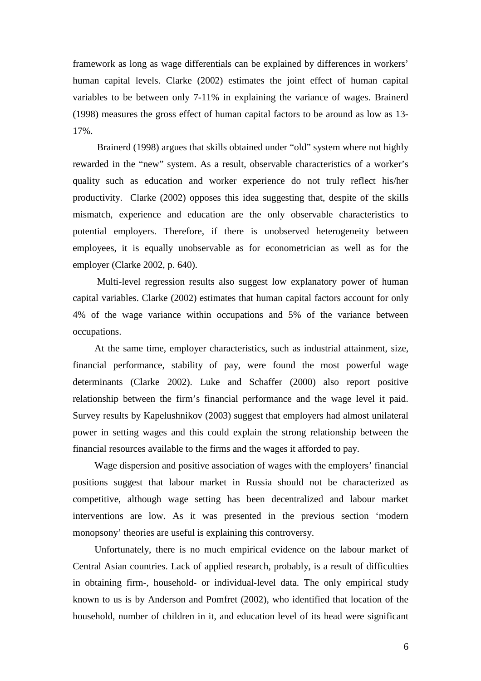framework as long as wage differentials can be explained by differences in workers' human capital levels. Clarke (2002) estimates the joint effect of human capital variables to be between only 7-11% in explaining the variance of wages. Brainerd (1998) measures the gross effect of human capital factors to be around as low as 13- 17%.

Brainerd (1998) argues that skills obtained under "old" system where not highly rewarded in the "new" system. As a result, observable characteristics of a worker's quality such as education and worker experience do not truly reflect his/her productivity. Clarke (2002) opposes this idea suggesting that, despite of the skills mismatch, experience and education are the only observable characteristics to potential employers. Therefore, if there is unobserved heterogeneity between employees, it is equally unobservable as for econometrician as well as for the employer (Clarke 2002, p. 640).

Multi-level regression results also suggest low explanatory power of human capital variables. Clarke (2002) estimates that human capital factors account for only 4% of the wage variance within occupations and 5% of the variance between occupations.

At the same time, employer characteristics, such as industrial attainment, size, financial performance, stability of pay, were found the most powerful wage determinants (Clarke 2002). Luke and Schaffer (2000) also report positive relationship between the firm's financial performance and the wage level it paid. Survey results by Kapelushnikov (2003) suggest that employers had almost unilateral power in setting wages and this could explain the strong relationship between the financial resources available to the firms and the wages it afforded to pay.

Wage dispersion and positive association of wages with the employers' financial positions suggest that labour market in Russia should not be characterized as competitive, although wage setting has been decentralized and labour market interventions are low. As it was presented in the previous section 'modern monopsony' theories are useful is explaining this controversy.

Unfortunately, there is no much empirical evidence on the labour market of Central Asian countries. Lack of applied research, probably, is a result of difficulties in obtaining firm-, household- or individual-level data. The only empirical study known to us is by Anderson and Pomfret (2002), who identified that location of the household, number of children in it, and education level of its head were significant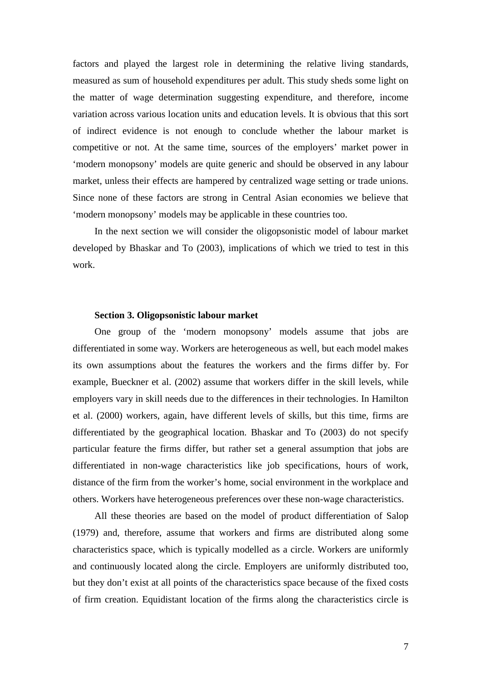factors and played the largest role in determining the relative living standards, measured as sum of household expenditures per adult. This study sheds some light on the matter of wage determination suggesting expenditure, and therefore, income variation across various location units and education levels. It is obvious that this sort of indirect evidence is not enough to conclude whether the labour market is competitive or not. At the same time, sources of the employers' market power in 'modern monopsony' models are quite generic and should be observed in any labour market, unless their effects are hampered by centralized wage setting or trade unions. Since none of these factors are strong in Central Asian economies we believe that 'modern monopsony' models may be applicable in these countries too.

In the next section we will consider the oligopsonistic model of labour market developed by Bhaskar and To (2003), implications of which we tried to test in this work.

### **Section 3. Oligopsonistic labour market**

One group of the 'modern monopsony' models assume that jobs are differentiated in some way. Workers are heterogeneous as well, but each model makes its own assumptions about the features the workers and the firms differ by. For example, Bueckner et al. (2002) assume that workers differ in the skill levels, while employers vary in skill needs due to the differences in their technologies. In Hamilton et al. (2000) workers, again, have different levels of skills, but this time, firms are differentiated by the geographical location. Bhaskar and To (2003) do not specify particular feature the firms differ, but rather set a general assumption that jobs are differentiated in non-wage characteristics like job specifications, hours of work, distance of the firm from the worker's home, social environment in the workplace and others. Workers have heterogeneous preferences over these non-wage characteristics.

All these theories are based on the model of product differentiation of Salop (1979) and, therefore, assume that workers and firms are distributed along some characteristics space, which is typically modelled as a circle. Workers are uniformly and continuously located along the circle. Employers are uniformly distributed too, but they don't exist at all points of the characteristics space because of the fixed costs of firm creation. Equidistant location of the firms along the characteristics circle is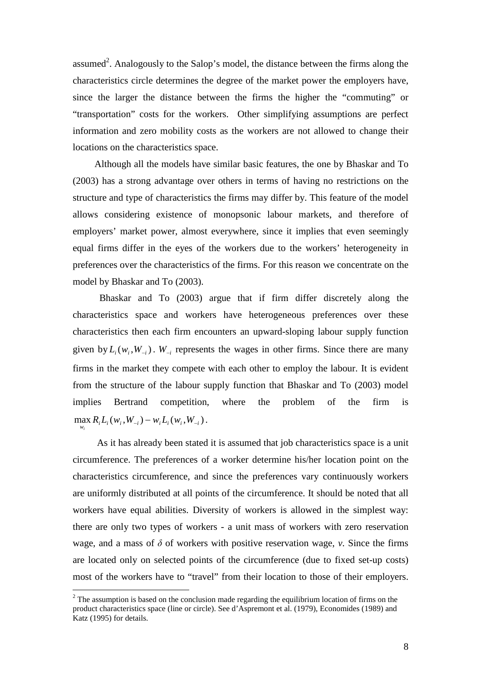assumed<sup>2</sup>. Analogously to the Salop's model, the distance between the firms along the characteristics circle determines the degree of the market power the employers have, since the larger the distance between the firms the higher the "commuting" or "transportation" costs for the workers. Other simplifying assumptions are perfect information and zero mobility costs as the workers are not allowed to change their locations on the characteristics space.

Although all the models have similar basic features, the one by Bhaskar and To (2003) has a strong advantage over others in terms of having no restrictions on the structure and type of characteristics the firms may differ by. This feature of the model allows considering existence of monopsonic labour markets, and therefore of employers' market power, almost everywhere, since it implies that even seemingly equal firms differ in the eyes of the workers due to the workers' heterogeneity in preferences over the characteristics of the firms. For this reason we concentrate on the model by Bhaskar and To (2003).

Bhaskar and To (2003) argue that if firm differ discretely along the characteristics space and workers have heterogeneous preferences over these characteristics then each firm encounters an upward-sloping labour supply function given by  $L_i(w_i, W_{-i})$ .  $W_{-i}$  represents the wages in other firms. Since there are many firms in the market they compete with each other to employ the labour. It is evident from the structure of the labour supply function that Bhaskar and To (2003) model implies Bertrand competition, where the problem of the firm is  $\max_{w_i} R_i L_i(w_i, W_{-i}) - w_i L_i(w_i, W_{-i}).$ 

*i*

As it has already been stated it is assumed that job characteristics space is a unit circumference. The preferences of a worker determine his/her location point on the characteristics circumference, and since the preferences vary continuously workers are uniformly distributed at all points of the circumference. It should be noted that all workers have equal abilities. Diversity of workers is allowed in the simplest way: there are only two types of workers - a unit mass of workers with zero reservation wage, and a mass of  $\delta$  of workers with positive reservation wage, *v*. Since the firms are located only on selected points of the circumference (due to fixed set-up costs) most of the workers have to "travel" from their location to those of their employers.

 $2^2$  The assumption is based on the conclusion made regarding the equilibrium location of firms on the product characteristics space (line or circle). See d'Aspremont et al. (1979), Economides (1989) and Katz (1995) for details.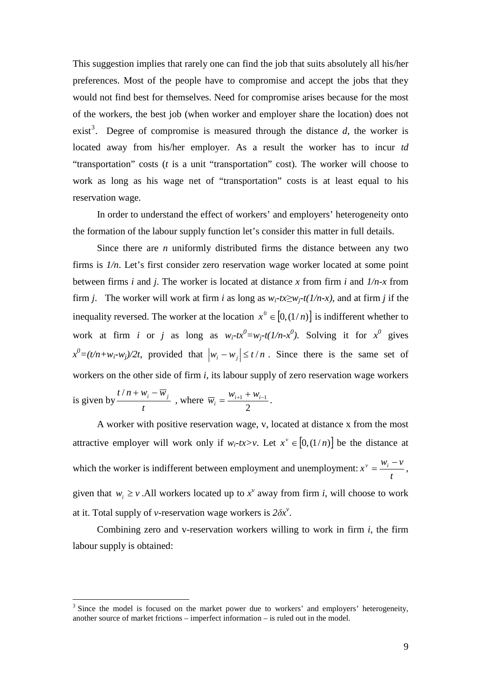This suggestion implies that rarely one can find the job that suits absolutely all his/her preferences. Most of the people have to compromise and accept the jobs that they would not find best for themselves. Need for compromise arises because for the most of the workers, the best job (when worker and employer share the location) does not exist<sup>3</sup>. Degree of compromise is measured through the distance  $d$ , the worker is located away from his/her employer. As a result the worker has to incur *td* "transportation" costs (*t* is a unit "transportation" cost). The worker will choose to work as long as his wage net of "transportation" costs is at least equal to his reservation wage.

In order to understand the effect of workers' and employers' heterogeneity onto the formation of the labour supply function let's consider this matter in full details.

Since there are *n* uniformly distributed firms the distance between any two firms is *1/n*. Let's first consider zero reservation wage worker located at some point between firms *i* and *j*. The worker is located at distance *x* from firm *i* and *1/n-x* from firm *j*. The worker will work at firm *i* as long as  $w_i$ -tx≥ $w_i$ <sup>-t</sup>(1/n-x), and at firm *j* if the inequality reversed. The worker at the location  $x^0 \in [0,(1/n)]$  is indifferent whether to work at firm *i* or *j* as long as  $w_i$ - $tx^0 = w_j$ - $t(1/n-x^0)$ . Solving it for  $x^0$  gives  $x^0 = (t/n + w_i - w_j)/2t$ , provided that  $|w_i - w_j| \le t/n$ . Since there is the same set of workers on the other side of firm *i*, its labour supply of zero reservation wage workers is given by  $\frac{1}{2}$ *t*  $t/n + w_i - \overline{w}_j$ , where 2  $\frac{W_{i+1} + W_{i-1}}{2}$  $\overline{w}_i = \frac{w_{i+1} + w_{i-1}}{2}$ .

A worker with positive reservation wage, v, located at distance x from the most attractive employer will work only if  $w_i$ -tx>v. Let  $x^{\nu} \in [0,(1/n)]$  be the distance at which the worker is indifferent between employment and unemployment: *t*  $x^{\nu} = \frac{w_i - \nu}{\nu},$ given that  $w_i \geq v$ . All workers located up to  $x^v$  away from firm *i*, will choose to work at it. Total supply of *v*-reservation wage workers is  $2\delta x^{\nu}$ .

Combining zero and v-reservation workers willing to work in firm *i*, the firm labour supply is obtained:

 $3$  Since the model is focused on the market power due to workers' and employers' heterogeneity, another source of market frictions – imperfect information – is ruled out in the model.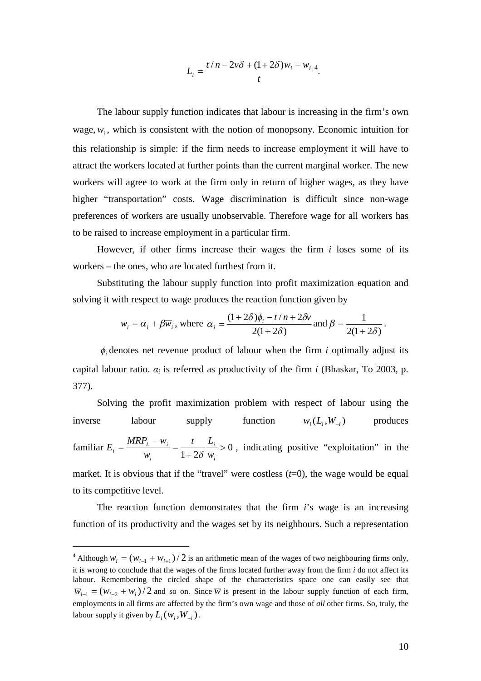$$
L_i = \frac{t/n - 2v\delta + (1 + 2\delta)w_i - \overline{w}_i}{t}^4.
$$

The labour supply function indicates that labour is increasing in the firm's own wage,  $w_i$ , which is consistent with the notion of monopsony. Economic intuition for this relationship is simple: if the firm needs to increase employment it will have to attract the workers located at further points than the current marginal worker. The new workers will agree to work at the firm only in return of higher wages, as they have higher "transportation" costs. Wage discrimination is difficult since non-wage preferences of workers are usually unobservable. Therefore wage for all workers has to be raised to increase employment in a particular firm.

However, if other firms increase their wages the firm *i* loses some of its workers – the ones, who are located furthest from it.

Substituting the labour supply function into profit maximization equation and solving it with respect to wage produces the reaction function given by

$$
w_i = \alpha_i + \beta \overline{w}_i
$$
, where  $\alpha_i = \frac{(1+2\delta)\phi_i - t/n + 2\delta v}{2(1+2\delta)}$  and  $\beta = \frac{1}{2(1+2\delta)}$ .

 $\phi$ , denotes net revenue product of labour when the firm *i* optimally adjust its capital labour ratio.  $\alpha_i$  is referred as productivity of the firm *i* (Bhaskar, To 2003, p. 377).

Solving the profit maximization problem with respect of labour using the inverse labour supply function  $w_i(L, W_i)$  produces familiar  $E_i = \frac{m m_l}{l} = \frac{v_i}{l} > 0$  $1 + 2$  $>$  $\ddot{}$  $=$  $\overline{a}$  $=$ *i i i L i*  $w_i = \frac{-1}{w_i}$  + 28 w *t L w*  $MRP_{L} - w$  $E_i = \frac{m\pi i}{w_i} = \frac{E_i}{1+2\delta} = \frac{E_i}{w_i} > 0$ , indicating positive "exploitation" in the market. It is obvious that if the "travel" were costless  $(t=0)$ , the wage would be equal to its competitive level.

The reaction function demonstrates that the firm *i*'s wage is an increasing function of its productivity and the wages set by its neighbours. Such a representation

<sup>&</sup>lt;sup>4</sup> Although  $\overline{w}_i = (w_{i-1} + w_{i+1})/2$  is an arithmetic mean of the wages of two neighbouring firms only, it is wrong to conclude that the wages of the firms located further away from the firm *i* do not affect its labour. Remembering the circled shape of the characteristics space one can easily see that  $\overline{w}_{i-1} = (w_{i-2} + w_i)/2$  and so on. Since  $\overline{w}$  is present in the labour supply function of each firm, employments in all firms are affected by the firm's own wage and those of *all* other firms. So, truly, the labour supply it given by  $L_i(w_i, W_{-i})$ .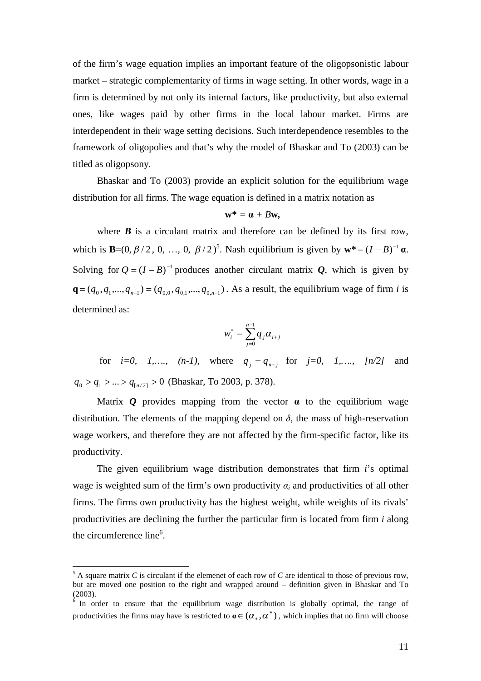of the firm's wage equation implies an important feature of the oligopsonistic labour market – strategic complementarity of firms in wage setting. In other words, wage in a firm is determined by not only its internal factors, like productivity, but also external ones, like wages paid by other firms in the local labour market. Firms are interdependent in their wage setting decisions. Such interdependence resembles to the framework of oligopolies and that's why the model of Bhaskar and To (2003) can be titled as oligopsony.

Bhaskar and To (2003) provide an explicit solution for the equilibrium wage distribution for all firms. The wage equation is defined in a matrix notation as

$$
\mathbf{w}^* = \mathbf{a} + B\mathbf{w},
$$

where  $\boldsymbol{B}$  is a circulant matrix and therefore can be defined by its first row, which is **B**=(0,  $\beta$ /2, 0, ..., 0,  $\beta$ /2)<sup>5</sup>. Nash equilibrium is given by  $\mathbf{w}^* = (I - B)^{-1} \mathbf{\alpha}$ . Solving for  $Q = (I - B)^{-1}$  produces another circulant matrix *Q*, which is given by  $\mathbf{q} = (q_0, q_1, ..., q_{n-1}) = (q_{0,0}, q_{0,1}, ..., q_{0,n-1})$ . As a result, the equilibrium wage of firm *i* is determined as:

$$
w_i^* = \sum_{j=0}^{n-1} q_j \alpha_{i+j}
$$

for *i*=0, 1,….,  $(n-1)$ , where  $q_j = q_{n-j}$  for  $j=0$ , 1,….,  $[n/2]$  and  $q_0 > q_1 > ... > q_{n/2} > 0$  (Bhaskar, To 2003, p. 378).

Matrix  $Q$  provides mapping from the vector  $\alpha$  to the equilibrium wage distribution. The elements of the mapping depend on  $\delta$ , the mass of high-reservation wage workers, and therefore they are not affected by the firm-specific factor, like its productivity.

The given equilibrium wage distribution demonstrates that firm *i*'s optimal wage is weighted sum of the firm's own productivity  $\alpha_i$  and productivities of all other firms. The firms own productivity has the highest weight, while weights of its rivals' productivities are declining the further the particular firm is located from firm *i* along the circumference line<sup>6</sup>.

 $5$  A square matrix *C* is circulant if the elemenet of each row of *C* are identical to those of previous row, but are moved one position to the right and wrapped around – definition given in Bhaskar and To (2003). 6 In order to ensure that the equilibrium wage distribution is globally optimal, the range of

productivities the firms may have is restricted to  $\alpha \in (\alpha_*, \alpha^*)$  , which implies that no firm will choose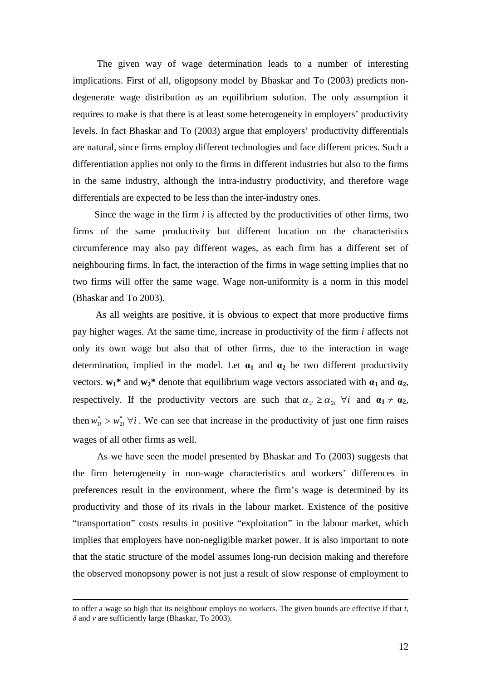The given way of wage determination leads to a number of interesting implications. First of all, oligopsony model by Bhaskar and To (2003) predicts nondegenerate wage distribution as an equilibrium solution. The only assumption it requires to make is that there is at least some heterogeneity in employers' productivity levels. In fact Bhaskar and To (2003) argue that employers' productivity differentials are natural, since firms employ different technologies and face different prices. Such a differentiation applies not only to the firms in different industries but also to the firms in the same industry, although the intra-industry productivity, and therefore wage differentials are expected to be less than the inter-industry ones.

Since the wage in the firm *i* is affected by the productivities of other firms, two firms of the same productivity but different location on the characteristics circumference may also pay different wages, as each firm has a different set of neighbouring firms. In fact, the interaction of the firms in wage setting implies that no two firms will offer the same wage. Wage non-uniformity is a norm in this model (Bhaskar and To 2003).

As all weights are positive, it is obvious to expect that more productive firms pay higher wages. At the same time, increase in productivity of the firm *i* affects not only its own wage but also that of other firms, due to the interaction in wage determination, implied in the model. Let  $\alpha_1$  and  $\alpha_2$  be two different productivity vectors.  $w_1^*$  and  $w_2^*$  denote that equilibrium wage vectors associated with  $\alpha_1$  and  $\alpha_2$ , respectively. If the productivity vectors are such that  $\alpha_{1i} \geq \alpha_{2i}$   $\forall i$  and  $\alpha_1 \neq \alpha_2$ , then  $w_{1i}^* > w_{2i}^* \; \forall i$ . We can see that increase in the productivity of just one firm raises wages of all other firms as well.

As we have seen the model presented by Bhaskar and To (2003) suggests that the firm heterogeneity in non-wage characteristics and workers' differences in preferences result in the environment, where the firm's wage is determined by its productivity and those of its rivals in the labour market. Existence of the positive "transportation" costs results in positive "exploitation" in the labour market, which implies that employers have non-negligible market power. It is also important to note that the static structure of the model assumes long-run decision making and therefore the observed monopsony power is not just a result of slow response of employment to

to offer a wage so high that its neighbour employs no workers. The given bounds are effective if that *t*, *δ* and *v* are sufficiently large (Bhaskar, To 2003).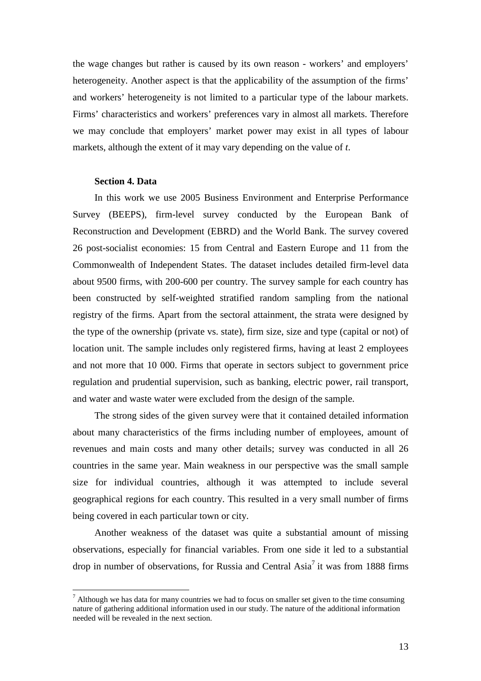the wage changes but rather is caused by its own reason - workers' and employers' heterogeneity. Another aspect is that the applicability of the assumption of the firms' and workers' heterogeneity is not limited to a particular type of the labour markets. Firms' characteristics and workers' preferences vary in almost all markets. Therefore we may conclude that employers' market power may exist in all types of labour markets, although the extent of it may vary depending on the value of *t*.

## **Section 4. Data**

In this work we use 2005 Business Environment and Enterprise Performance Survey (BEEPS), firm-level survey conducted by the European Bank of Reconstruction and Development (EBRD) and the World Bank. The survey covered 26 post-socialist economies: 15 from Central and Eastern Europe and 11 from the Commonwealth of Independent States. The dataset includes detailed firm-level data about 9500 firms, with 200-600 per country. The survey sample for each country has been constructed by self-weighted stratified random sampling from the national registry of the firms. Apart from the sectoral attainment, the strata were designed by the type of the ownership (private vs. state), firm size, size and type (capital or not) of location unit. The sample includes only registered firms, having at least 2 employees and not more that 10 000. Firms that operate in sectors subject to government price regulation and prudential supervision, such as banking, electric power, rail transport, and water and waste water were excluded from the design of the sample.

The strong sides of the given survey were that it contained detailed information about many characteristics of the firms including number of employees, amount of revenues and main costs and many other details; survey was conducted in all 26 countries in the same year. Main weakness in our perspective was the small sample size for individual countries, although it was attempted to include several geographical regions for each country. This resulted in a very small number of firms being covered in each particular town or city.

Another weakness of the dataset was quite a substantial amount of missing observations, especially for financial variables. From one side it led to a substantial drop in number of observations, for Russia and Central Asia<sup>7</sup> it was from 1888 firms

 $<sup>7</sup>$  Although we has data for many countries we had to focus on smaller set given to the time consuming</sup> nature of gathering additional information used in our study. The nature of the additional information needed will be revealed in the next section.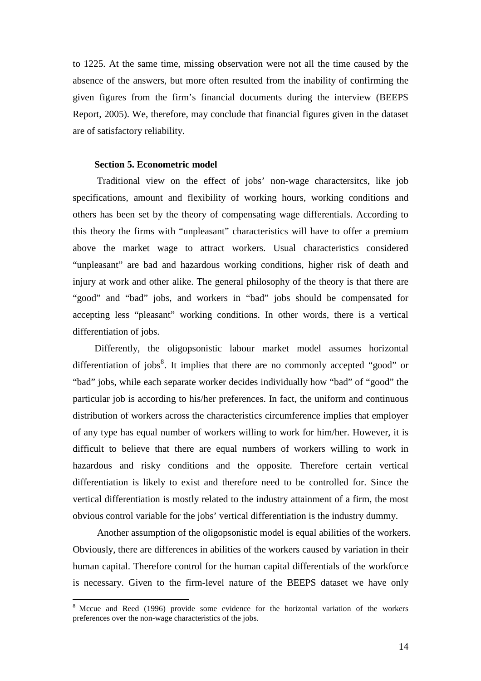to 1225. At the same time, missing observation were not all the time caused by the absence of the answers, but more often resulted from the inability of confirming the given figures from the firm's financial documents during the interview (BEEPS Report, 2005). We, therefore, may conclude that financial figures given in the dataset are of satisfactory reliability.

## **Section 5. Econometric model**

Traditional view on the effect of jobs' non-wage charactersitcs, like job specifications, amount and flexibility of working hours, working conditions and others has been set by the theory of compensating wage differentials. According to this theory the firms with "unpleasant" characteristics will have to offer a premium above the market wage to attract workers. Usual characteristics considered "unpleasant" are bad and hazardous working conditions, higher risk of death and injury at work and other alike. The general philosophy of the theory is that there are "good" and "bad" jobs, and workers in "bad" jobs should be compensated for accepting less "pleasant" working conditions. In other words, there is a vertical differentiation of jobs.

Differently, the oligopsonistic labour market model assumes horizontal differentiation of jobs<sup>8</sup>. It implies that there are no commonly accepted "good" or "bad" jobs, while each separate worker decides individually how "bad" of "good" the particular job is according to his/her preferences. In fact, the uniform and continuous distribution of workers across the characteristics circumference implies that employer of any type has equal number of workers willing to work for him/her. However, it is difficult to believe that there are equal numbers of workers willing to work in hazardous and risky conditions and the opposite. Therefore certain vertical differentiation is likely to exist and therefore need to be controlled for. Since the vertical differentiation is mostly related to the industry attainment of a firm, the most obvious control variable for the jobs' vertical differentiation is the industry dummy.

Another assumption of the oligopsonistic model is equal abilities of the workers. Obviously, there are differences in abilities of the workers caused by variation in their human capital. Therefore control for the human capital differentials of the workforce is necessary. Given to the firm-level nature of the BEEPS dataset we have only

<sup>&</sup>lt;sup>8</sup> Mccue and Reed (1996) provide some evidence for the horizontal variation of the workers preferences over the non-wage characteristics of the jobs.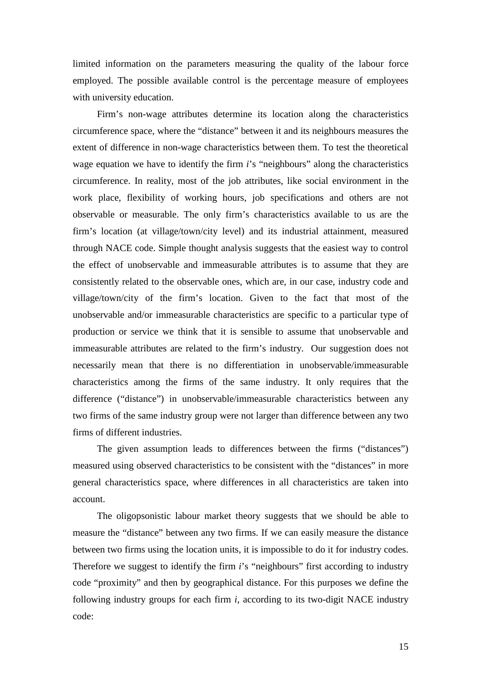limited information on the parameters measuring the quality of the labour force employed. The possible available control is the percentage measure of employees with university education.

Firm's non-wage attributes determine its location along the characteristics circumference space, where the "distance" between it and its neighbours measures the extent of difference in non-wage characteristics between them. To test the theoretical wage equation we have to identify the firm *i*'s "neighbours" along the characteristics circumference. In reality, most of the job attributes, like social environment in the work place, flexibility of working hours, job specifications and others are not observable or measurable. The only firm's characteristics available to us are the firm's location (at village/town/city level) and its industrial attainment, measured through NACE code. Simple thought analysis suggests that the easiest way to control the effect of unobservable and immeasurable attributes is to assume that they are consistently related to the observable ones, which are, in our case, industry code and village/town/city of the firm's location. Given to the fact that most of the unobservable and/or immeasurable characteristics are specific to a particular type of production or service we think that it is sensible to assume that unobservable and immeasurable attributes are related to the firm's industry. Our suggestion does not necessarily mean that there is no differentiation in unobservable/immeasurable characteristics among the firms of the same industry. It only requires that the difference ("distance") in unobservable/immeasurable characteristics between any two firms of the same industry group were not larger than difference between any two firms of different industries.

The given assumption leads to differences between the firms ("distances") measured using observed characteristics to be consistent with the "distances" in more general characteristics space, where differences in all characteristics are taken into account.

The oligopsonistic labour market theory suggests that we should be able to measure the "distance" between any two firms. If we can easily measure the distance between two firms using the location units, it is impossible to do it for industry codes. Therefore we suggest to identify the firm *i*'s "neighbours" first according to industry code "proximity" and then by geographical distance. For this purposes we define the following industry groups for each firm *i*, according to its two-digit NACE industry code:

15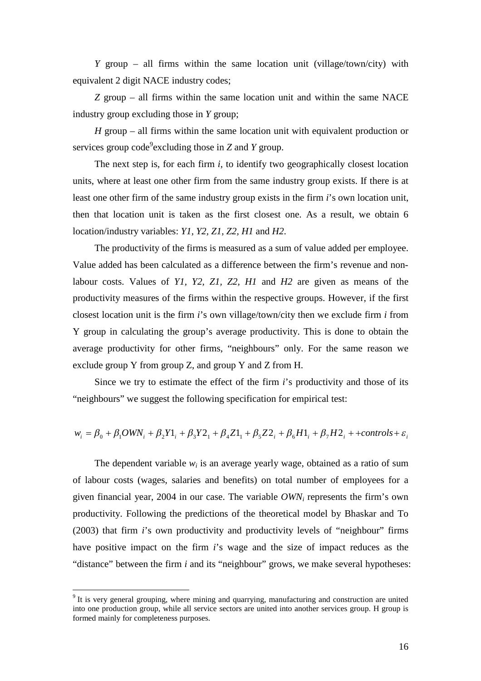*Y* group – all firms within the same location unit (village/town/city) with equivalent 2 digit NACE industry codes;

*Z* group – all firms within the same location unit and within the same NACE industry group excluding those in *Y* group;

*H* group – all firms within the same location unit with equivalent production or services group code<sup>9</sup> excluding those in *Z* and *Y* group.

The next step is, for each firm  $i$ , to identify two geographically closest location units, where at least one other firm from the same industry group exists. If there is at least one other firm of the same industry group exists in the firm *i*'s own location unit, then that location unit is taken as the first closest one. As a result, we obtain 6 location/industry variables: *Y1, Y2, Z1, Z2, H1* and *H2*.

The productivity of the firms is measured as a sum of value added per employee. Value added has been calculated as a difference between the firm's revenue and nonlabour costs. Values of *Y1, Y2, Z1, Z2, H1* and *H2* are given as means of the productivity measures of the firms within the respective groups. However, if the first closest location unit is the firm *i*'s own village/town/city then we exclude firm *i* from Y group in calculating the group's average productivity. This is done to obtain the average productivity for other firms, "neighbours" only. For the same reason we exclude group Y from group Z, and group Y and Z from H.

Since we try to estimate the effect of the firm *i*'s productivity and those of its "neighbours" we suggest the following specification for empirical test:

$$
w_i = \beta_0 + \beta_1 OWN_i + \beta_2 Y1_i + \beta_3 Y2_1 + \beta_4 Z1_1 + \beta_5 Z2_i + \beta_6 H1_i + \beta_7 H2_i + + controls + \varepsilon_i
$$

The dependent variable  $w_i$  is an average yearly wage, obtained as a ratio of sum of labour costs (wages, salaries and benefits) on total number of employees for a given financial year, 2004 in our case. The variable *OWN<sup>i</sup>* represents the firm's own productivity. Following the predictions of the theoretical model by Bhaskar and To (2003) that firm *i*'s own productivity and productivity levels of "neighbour" firms have positive impact on the firm *i*'s wage and the size of impact reduces as the "distance" between the firm *i* and its "neighbour" grows, we make several hypotheses:

 $9$  It is very general grouping, where mining and quarrying, manufacturing and construction are united into one production group, while all service sectors are united into another services group. H group is formed mainly for completeness purposes.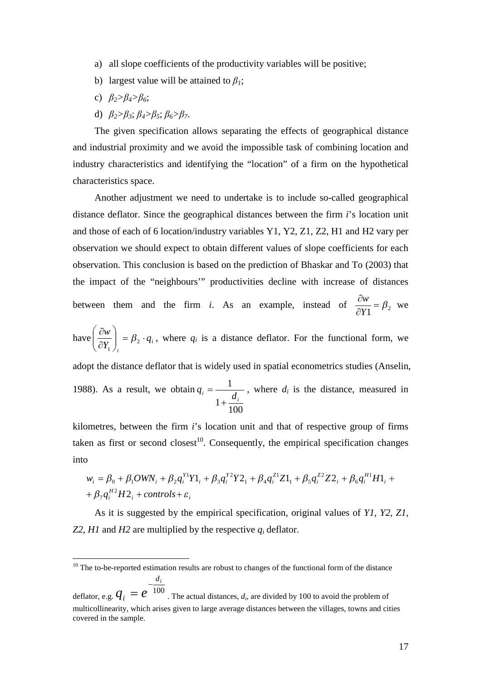- a) all slope coefficients of the productivity variables will be positive;
- b) largest value will be attained to  $\beta$ <sup>1</sup>;
- c) *β2>β4>β6*;
- d) *β2>β3*; *β4>β5*; *β6>β7*.

The given specification allows separating the effects of geographical distance and industrial proximity and we avoid the impossible task of combining location and industry characteristics and identifying the "location" of a firm on the hypothetical characteristics space.

Another adjustment we need to undertake is to include so-called geographical distance deflator. Since the geographical distances between the firm *i*'s location unit and those of each of 6 location/industry variables Y1, Y2, Z1, Z2, H1 and H2 vary per observation we should expect to obtain different values of slope coefficients for each observation. This conclusion is based on the prediction of Bhaskar and To (2003) that the impact of the "neighbours'" productivities decline with increase of distances between them and the firm *i*. As an example, instead of  $\frac{\partial w}{\partial Y_1} = \beta_2$  $=\beta$  $\partial$  $\partial$ *Y*  $\frac{w}{w} = \beta$ , we

have  $\left| \frac{\partial w}{\partial y} \right| = \beta_2 \cdot q_i$ *i q Y*  $\left(\frac{w}{V}\right)^{2} = \beta_{2}$ . J  $\backslash$  $\overline{\phantom{a}}$  $\setminus$ ſ  $\partial$  $\partial$ 2 1  $\beta_2 \cdot q_i$ , where  $q_i$  is a distance deflator. For the functional form, we

adopt the distance deflator that is widely used in spatial econometrics studies (Anselin, 1988). As a result, we obtain 100 1 1 *i*  $i \begin{bmatrix} 1 & d \end{bmatrix}$ *q*  $\ddot{}$  $=\frac{1}{\sqrt{2}}$ , where  $d_i$  is the distance, measured in

kilometres, between the firm *i*'s location unit and that of respective group of firms taken as first or second closest<sup>10</sup>. Consequently, the empirical specification changes into

$$
w_i = \beta_0 + \beta_1 OWN_i + \beta_2 q_i^{y_1} Y1_i + \beta_3 q_i^{y_2} Y2_i + \beta_4 q_i^{z_1} Z1_i + \beta_5 q_i^{z_2} Z2_i + \beta_6 q_i^{H1} H1_i +
$$
  
+  $\beta_7 q_i^{H2} H2_i + controls + \varepsilon_i$ 

As it is suggested by the empirical specification, original values of *Y1, Y2, Z1, Z2, H1* and *H2* are multiplied by the respective *q<sup>i</sup>* deflator.

 $10$  The to-be-reported estimation results are robust to changes of the functional form of the distance *di*

deflator, e.g.  $\overline{q}_i = e^{-100}$  $q_i = e^{-\frac{a_i}{100}}$ . The actual distances, *d<sub>i</sub>*, are divided by 100 to avoid the problem of multicollinearity, which arises given to large average distances between the villages, towns and cities covered in the sample.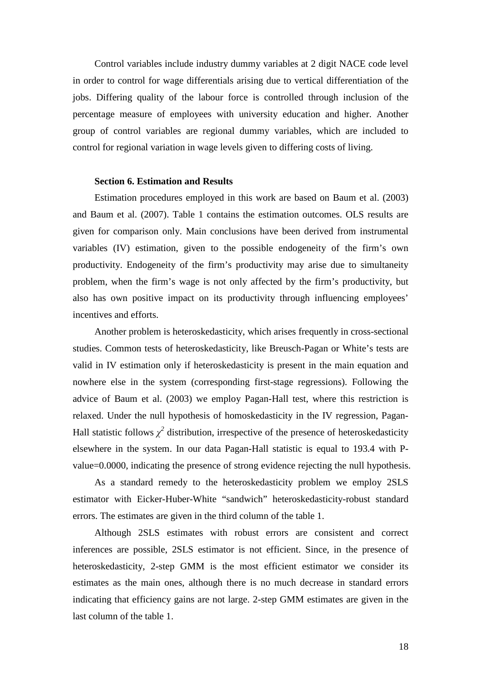Control variables include industry dummy variables at 2 digit NACE code level in order to control for wage differentials arising due to vertical differentiation of the jobs. Differing quality of the labour force is controlled through inclusion of the percentage measure of employees with university education and higher. Another group of control variables are regional dummy variables, which are included to control for regional variation in wage levels given to differing costs of living.

## **Section 6. Estimation and Results**

Estimation procedures employed in this work are based on Baum et al. (2003) and Baum et al. (2007). Table 1 contains the estimation outcomes. OLS results are given for comparison only. Main conclusions have been derived from instrumental variables (IV) estimation, given to the possible endogeneity of the firm's own productivity. Endogeneity of the firm's productivity may arise due to simultaneity problem, when the firm's wage is not only affected by the firm's productivity, but also has own positive impact on its productivity through influencing employees' incentives and efforts.

Another problem is heteroskedasticity, which arises frequently in cross-sectional studies. Common tests of heteroskedasticity, like Breusch-Pagan or White's tests are valid in IV estimation only if heteroskedasticity is present in the main equation and nowhere else in the system (corresponding first-stage regressions). Following the advice of Baum et al. (2003) we employ Pagan-Hall test, where this restriction is relaxed. Under the null hypothesis of homoskedasticity in the IV regression, Pagan-Hall statistic follows  $\chi^2$  distribution, irrespective of the presence of heteroskedasticity elsewhere in the system. In our data Pagan-Hall statistic is equal to 193.4 with Pvalue=0.0000, indicating the presence of strong evidence rejecting the null hypothesis.

As a standard remedy to the heteroskedasticity problem we employ 2SLS estimator with Eicker-Huber-White "sandwich" heteroskedasticity-robust standard errors. The estimates are given in the third column of the table 1.

Although 2SLS estimates with robust errors are consistent and correct inferences are possible, 2SLS estimator is not efficient. Since, in the presence of heteroskedasticity, 2-step GMM is the most efficient estimator we consider its estimates as the main ones, although there is no much decrease in standard errors indicating that efficiency gains are not large. 2-step GMM estimates are given in the last column of the table 1.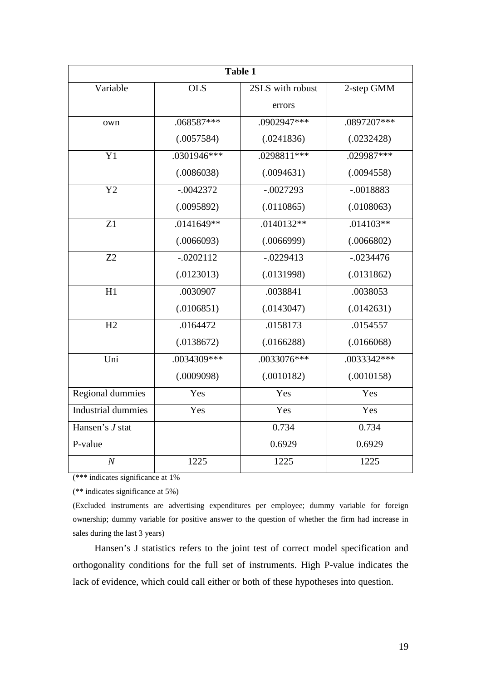| <b>Table 1</b>     |             |                  |               |  |  |
|--------------------|-------------|------------------|---------------|--|--|
| Variable           | <b>OLS</b>  | 2SLS with robust | $2$ -step GMM |  |  |
|                    |             | errors           |               |  |  |
| own                | .068587***  | .0902947***      | .0897207***   |  |  |
|                    | (.0057584)  | (.0241836)       | (.0232428)    |  |  |
| Y1                 | .0301946*** | .0298811***      | .029987***    |  |  |
|                    | (.0086038)  | (.0094631)       | (.0094558)    |  |  |
| Y2                 | $-.0042372$ | $-.0027293$      | $-.0018883$   |  |  |
|                    | (.0095892)  | (.0110865)       | (.0108063)    |  |  |
| Z1                 | .0141649**  | $.0140132**$     | $.014103**$   |  |  |
|                    | (.0066093)  | (.0066999)       | (.0066802)    |  |  |
| Z <sub>2</sub>     | $-.0202112$ | $-.0229413$      | $-.0234476$   |  |  |
|                    | (.0123013)  | (.0131998)       | (.0131862)    |  |  |
| H1                 | .0030907    | .0038841         | .0038053      |  |  |
|                    | (.0106851)  | (.0143047)       | (.0142631)    |  |  |
| H2                 | .0164472    | .0158173         | .0154557      |  |  |
|                    | (.0138672)  | (.0166288)       | (.0166068)    |  |  |
| Uni                | .0034309*** | .0033076***      | .0033342***   |  |  |
|                    | (.0009098)  | (.0010182)       | (.0010158)    |  |  |
| Regional dummies   | Yes         | Yes              | Yes           |  |  |
| Industrial dummies | Yes         | Yes              | Yes           |  |  |
| Hansen's J stat    |             | 0.734            | 0.734         |  |  |
| P-value            |             | 0.6929           | 0.6929        |  |  |
| $\overline{N}$     | 1225        | 1225             | 1225          |  |  |

(\*\*\* indicates significance at 1%

(\*\* indicates significance at 5%)

(Excluded instruments are advertising expenditures per employee; dummy variable for foreign ownership; dummy variable for positive answer to the question of whether the firm had increase in sales during the last 3 years)

Hansen's J statistics refers to the joint test of correct model specification and orthogonality conditions for the full set of instruments. High P-value indicates the lack of evidence, which could call either or both of these hypotheses into question.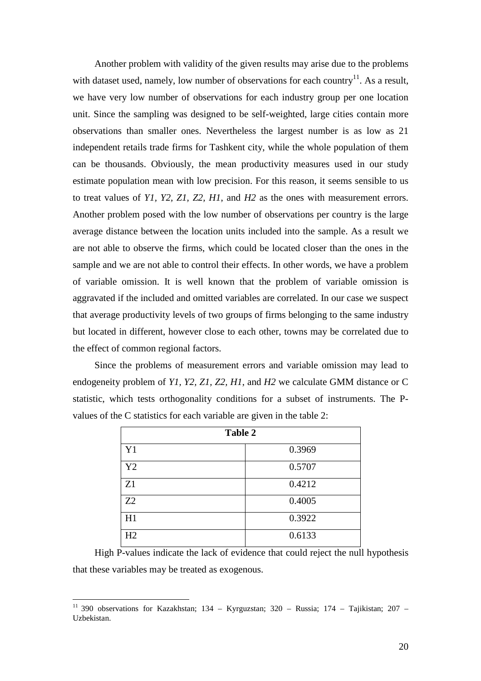Another problem with validity of the given results may arise due to the problems with dataset used, namely, low number of observations for each country $^{11}$ . As a result, we have very low number of observations for each industry group per one location unit. Since the sampling was designed to be self-weighted, large cities contain more observations than smaller ones. Nevertheless the largest number is as low as 21 independent retails trade firms for Tashkent city, while the whole population of them can be thousands. Obviously, the mean productivity measures used in our study estimate population mean with low precision. For this reason, it seems sensible to us to treat values of *Y1, Y2, Z1, Z2, H1*, and *H2* as the ones with measurement errors. Another problem posed with the low number of observations per country is the large average distance between the location units included into the sample. As a result we are not able to observe the firms, which could be located closer than the ones in the sample and we are not able to control their effects. In other words, we have a problem of variable omission. It is well known that the problem of variable omission is aggravated if the included and omitted variables are correlated. In our case we suspect that average productivity levels of two groups of firms belonging to the same industry but located in different, however close to each other, towns may be correlated due to the effect of common regional factors.

Since the problems of measurement errors and variable omission may lead to endogeneity problem of *Y1, Y2, Z1, Z2, H1*, and *H2* we calculate GMM distance or C statistic, which tests orthogonality conditions for a subset of instruments. The Pvalues of the C statistics for each variable are given in the table 2:

| <b>Table 2</b> |        |  |  |
|----------------|--------|--|--|
| Y1             | 0.3969 |  |  |
| Y2             | 0.5707 |  |  |
| Z1             | 0.4212 |  |  |
| Z2             | 0.4005 |  |  |
| H1             | 0.3922 |  |  |
| H2             | 0.6133 |  |  |

High P-values indicate the lack of evidence that could reject the null hypothesis that these variables may be treated as exogenous.

<sup>&</sup>lt;sup>11</sup> 390 observations for Kazakhstan; 134 – Kyrguzstan; 320 – Russia; 174 – Tajikistan; 207 – Uzbekistan.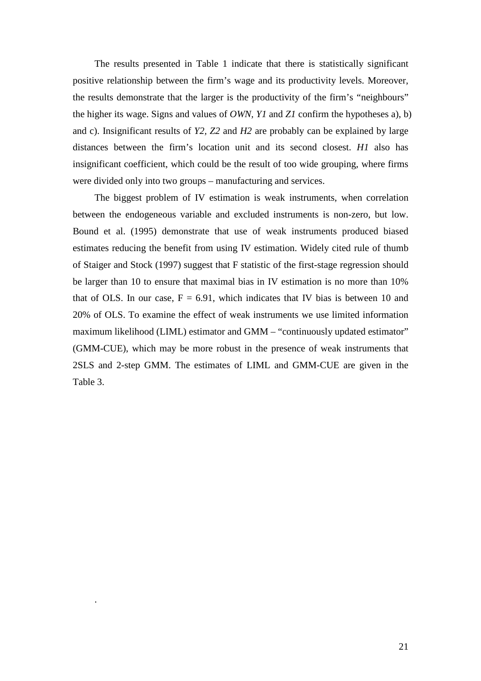The results presented in Table 1 indicate that there is statistically significant positive relationship between the firm's wage and its productivity levels. Moreover, the results demonstrate that the larger is the productivity of the firm's "neighbours" the higher its wage. Signs and values of *OWN, Y1* and *Z1* confirm the hypotheses a), b) and c). Insignificant results of *Y2, Z2* and *H2* are probably can be explained by large distances between the firm's location unit and its second closest. *H1* also has insignificant coefficient, which could be the result of too wide grouping, where firms were divided only into two groups – manufacturing and services.

The biggest problem of IV estimation is weak instruments, when correlation between the endogeneous variable and excluded instruments is non-zero, but low. Bound et al. (1995) demonstrate that use of weak instruments produced biased estimates reducing the benefit from using IV estimation. Widely cited rule of thumb of Staiger and Stock (1997) suggest that F statistic of the first-stage regression should be larger than 10 to ensure that maximal bias in IV estimation is no more than 10% that of OLS. In our case,  $F = 6.91$ , which indicates that IV bias is between 10 and 20% of OLS. To examine the effect of weak instruments we use limited information maximum likelihood (LIML) estimator and GMM – "continuously updated estimator" (GMM-CUE), which may be more robust in the presence of weak instruments that 2SLS and 2-step GMM. The estimates of LIML and GMM-CUE are given in the Table 3.

.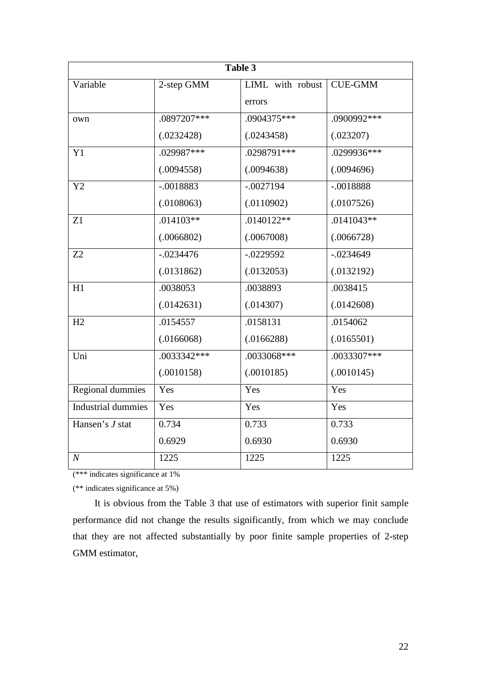| Table 3                   |             |                  |                |  |  |
|---------------------------|-------------|------------------|----------------|--|--|
| Variable                  | 2-step GMM  | LIML with robust | <b>CUE-GMM</b> |  |  |
|                           |             | errors           |                |  |  |
| own                       | .0897207*** | .0904375***      | .0900992***    |  |  |
|                           | (.0232428)  | (.0243458)       | (.023207)      |  |  |
| Y1                        | .029987***  | .0298791***      | .0299936***    |  |  |
|                           | (.0094558)  | (.0094638)       | (.0094696)     |  |  |
| Y2                        | $-.0018883$ | $-.0027194$      | $-.0018888$    |  |  |
|                           | (.0108063)  | (.0110902)       | (.0107526)     |  |  |
| Z1                        | $.014103**$ | .0140122**       | $.0141043**$   |  |  |
|                           | (.0066802)  | (.0067008)       | (.0066728)     |  |  |
| Z2                        | $-.0234476$ | $-0229592$       | $-.0234649$    |  |  |
|                           | (.0131862)  | (.0132053)       | (.0132192)     |  |  |
| H1                        | .0038053    | .0038893         | .0038415       |  |  |
|                           | (.0142631)  | (.014307)        | (.0142608)     |  |  |
| H2                        | .0154557    | .0158131         | .0154062       |  |  |
|                           | (.0166068)  | (.0166288)       | (.0165501)     |  |  |
| Uni                       | .0033342*** | .0033068***      | .0033307***    |  |  |
|                           | (.0010158)  | (.0010185)       | (.0010145)     |  |  |
| <b>Regional dummies</b>   | Yes         | Yes              | Yes            |  |  |
| <b>Industrial dummies</b> | Yes         | Yes              | Yes            |  |  |
| Hansen's J stat           | 0.734       | 0.733            | 0.733          |  |  |
|                           | 0.6929      | 0.6930           | 0.6930         |  |  |
| $\boldsymbol{N}$          | 1225        | 1225             | 1225           |  |  |

(\*\*\* indicates significance at 1%

(\*\* indicates significance at 5%)

It is obvious from the Table 3 that use of estimators with superior finit sample performance did not change the results significantly, from which we may conclude that they are not affected substantially by poor finite sample properties of 2-step GMM estimator,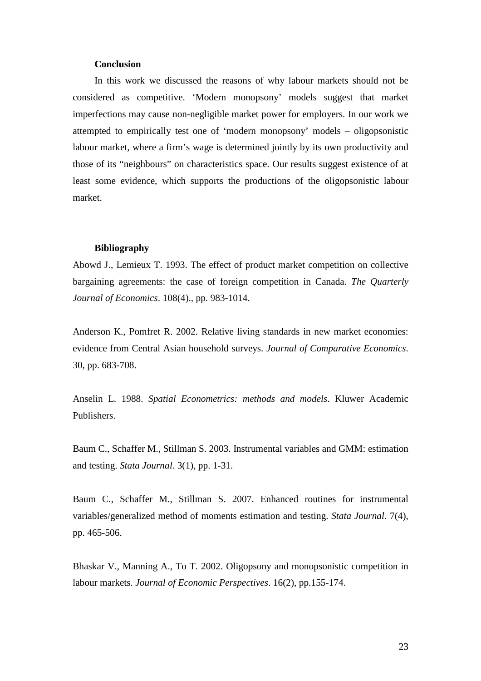### **Conclusion**

In this work we discussed the reasons of why labour markets should not be considered as competitive. 'Modern monopsony' models suggest that market imperfections may cause non-negligible market power for employers. In our work we attempted to empirically test one of 'modern monopsony' models – oligopsonistic labour market, where a firm's wage is determined jointly by its own productivity and those of its "neighbours" on characteristics space. Our results suggest existence of at least some evidence, which supports the productions of the oligopsonistic labour market.

#### **Bibliography**

Abowd J., Lemieux T. 1993. The effect of product market competition on collective bargaining agreements: the case of foreign competition in Canada. *The Quarterly Journal of Economics*. 108(4)., pp. 983-1014.

Anderson K., Pomfret R. 2002. Relative living standards in new market economies: evidence from Central Asian household surveys. *Journal of Comparative Economics*. 30, pp. 683-708.

Anselin L. 1988. *Spatial Econometrics: methods and models*. Kluwer Academic Publishers.

Baum C., Schaffer M., Stillman S. 2003. Instrumental variables and GMM: estimation and testing. *Stata Journal*. 3(1), pp. 1-31.

Baum C., Schaffer M., Stillman S. 2007. Enhanced routines for instrumental variables/generalized method of moments estimation and testing. *Stata Journal*. 7(4), pp. 465-506.

Bhaskar V., Manning A., To T. 2002. Oligopsony and monopsonistic competition in labour markets. *Journal of Economic Perspectives*. 16(2), pp.155-174.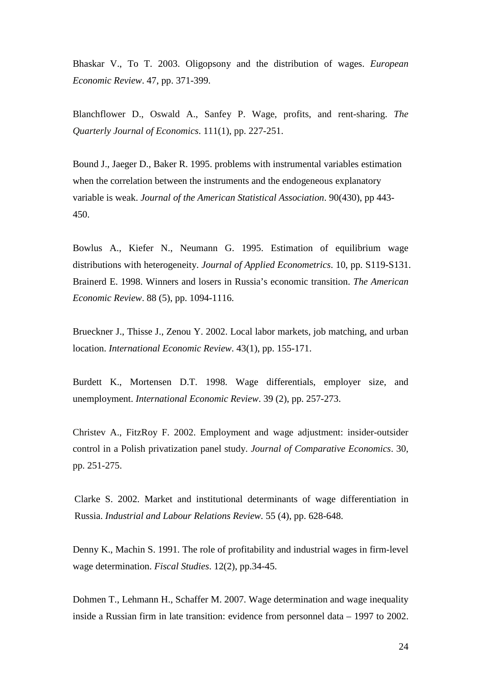Bhaskar V., To T. 2003. Oligopsony and the distribution of wages. *European Economic Review*. 47, pp. 371-399.

Blanchflower D., Oswald A., Sanfey P. Wage, profits, and rent-sharing. *The Quarterly Journal of Economics*. 111(1), pp. 227-251.

Bound J., Jaeger D., Baker R. 1995. problems with instrumental variables estimation when the correlation between the instruments and the endogeneous explanatory variable is weak. *Journal of the American Statistical Association*. 90(430), pp 443- 450.

Bowlus A., Kiefer N., Neumann G. 1995. Estimation of equilibrium wage distributions with heterogeneity. *Journal of Applied Econometrics*. 10, pp. S119-S131. Brainerd E. 1998. Winners and losers in Russia's economic transition. *The American Economic Review*. 88 (5), pp. 1094-1116.

Brueckner J., Thisse J., Zenou Y. 2002. Local labor markets, job matching, and urban location. *International Economic Review*. 43(1), pp. 155-171.

Burdett K., Mortensen D.T. 1998. Wage differentials, employer size, and unemployment. *International Economic Review*. 39 (2), pp. 257-273.

Christev A., FitzRoy F. 2002. Employment and wage adjustment: insider-outsider control in a Polish privatization panel study. *Journal of Comparative Economics*. 30, pp. 251-275.

Clarke S. 2002. Market and institutional determinants of wage differentiation in Russia. *Industrial and Labour Relations Review.* 55 (4), pp. 628-648.

Denny K., Machin S. 1991. The role of profitability and industrial wages in firm-level wage determination. *Fiscal Studies*. 12(2), pp.34-45.

Dohmen T., Lehmann H., Schaffer M. 2007. Wage determination and wage inequality inside a Russian firm in late transition: evidence from personnel data – 1997 to 2002.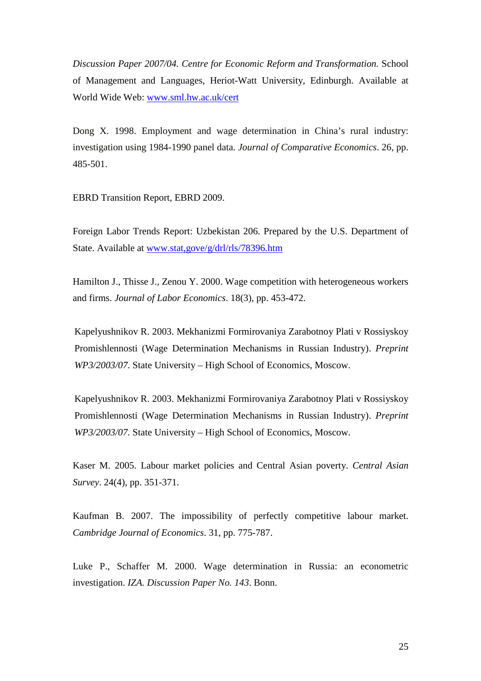*Discussion Paper 2007/04. Centre for Economic Reform and Transformation.* School of Management and Languages, Heriot-Watt University, Edinburgh. Available at World Wide Web: www.sml.hw.ac.uk/cert

Dong X. 1998. Employment and wage determination in China's rural industry: investigation using 1984-1990 panel data. *Journal of Comparative Economics*. 26, pp. 485-501.

EBRD Transition Report, EBRD 2009.

Foreign Labor Trends Report: Uzbekistan 206. Prepared by the U.S. Department of State. Available at www.stat,gove/g/drl/rls/78396.htm

Hamilton J., Thisse J., Zenou Y. 2000. Wage competition with heterogeneous workers and firms. *Journal of Labor Economics*. 18(3), pp. 453-472.

Kapelyushnikov R. 2003. Mekhanizmi Formirovaniya Zarabotnoy Plati v Rossiyskoy Promishlennosti (Wage Determination Mechanisms in Russian Industry). *Preprint WP3/2003/07.* State University – High School of Economics, Moscow.

Kapelyushnikov R. 2003. Mekhanizmi Formirovaniya Zarabotnoy Plati v Rossiyskoy Promishlennosti (Wage Determination Mechanisms in Russian Industry). *Preprint WP3/2003/07.* State University – High School of Economics, Moscow.

Kaser M. 2005. Labour market policies and Central Asian poverty. *Central Asian Survey*. 24(4), pp. 351-371.

Kaufman B. 2007. The impossibility of perfectly competitive labour market. *Cambridge Journal of Economics*. 31, pp. 775-787.

Luke P., Schaffer M. 2000. Wage determination in Russia: an econometric investigation. *IZA. Discussion Paper No. 143*. Bonn.